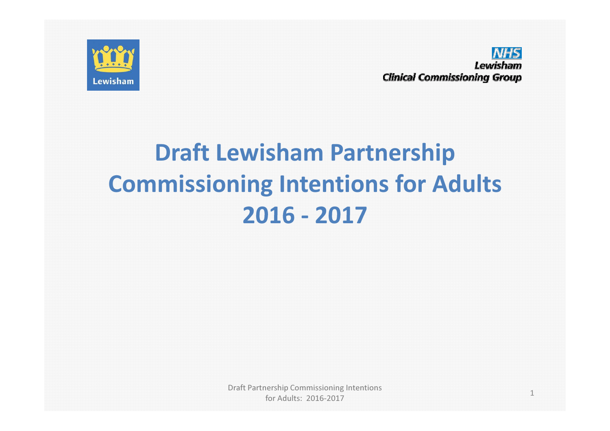

**NHS** Lewisham **Clinical Commissioning Group** 

#### Draft Lewisham Partnership Commissioning Intentions for Adults2016 -<sup>2017</sup>

Draft Partnership Commissioning Intentions for Adults: 2016-2017

1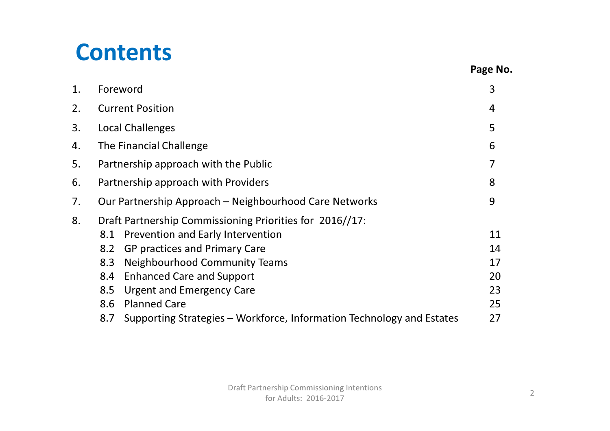### **Contents**

| 1. | Foreword                                                                     | 3  |  |
|----|------------------------------------------------------------------------------|----|--|
| 2. | <b>Current Position</b>                                                      | 4  |  |
| 3. | Local Challenges                                                             | 5  |  |
| 4. | The Financial Challenge                                                      | 6  |  |
| 5. | Partnership approach with the Public                                         |    |  |
| 6. | Partnership approach with Providers                                          |    |  |
| 7. | Our Partnership Approach – Neighbourhood Care Networks                       |    |  |
| 8. | Draft Partnership Commissioning Priorities for 2016//17:                     |    |  |
|    | Prevention and Early Intervention<br>8.1                                     | 11 |  |
|    | <b>GP practices and Primary Care</b><br>8.2                                  | 14 |  |
|    | <b>Neighbourhood Community Teams</b><br>8.3                                  | 17 |  |
|    | <b>Enhanced Care and Support</b><br>8.4                                      | 20 |  |
|    | <b>Urgent and Emergency Care</b><br>8.5                                      | 23 |  |
|    | <b>Planned Care</b><br>8.6                                                   | 25 |  |
|    | Supporting Strategies – Workforce, Information Technology and Estates<br>8.7 | 27 |  |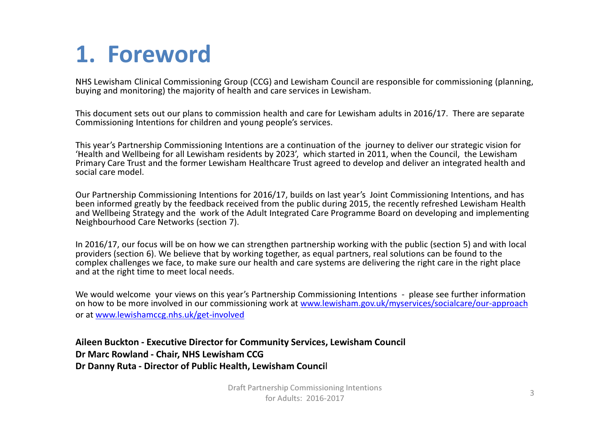### 1. Foreword

NHS Lewisham Clinical Commissioning Group (CCG) and Lewisham Council are responsible for commissioning (planning, buying and monitoring) the majority of health and care services in Lewisham.

This document sets out our plans to commission health and care for Lewisham adults in 2016/17. There are separate Commissioning Intentions for children and young people's services.

This year's Partnership Commissioning Intentions are a continuation of the journey to deliver our strategic vision for 'Health and Wellbeing for all Lewisham residents by 2023', which started in 2011, when the Council, the Lewisham Primary Care Trust and the former Lewisham Healthcare Trust agreed to develop and deliver an integrated health and social care model.

Our Partnership Commissioning Intentions for 2016/17, builds on last year's Joint Commissioning Intentions, and has been informed greatly by the feedback received from the public during 2015, the recently refreshed Lewisham Health and Wellbeing Strategy and the work of the Adult Integrated Care Programme Board on developing and implementing Neighbourhood Care Networks (section 7).

In 2016/17, our focus will be on how we can strengthen partnership working with the public (section 5) and with local providers (section 6). We believe that by working together, as equal partners, real solutions can be found to the complex challenges we face, to make sure our health and care systems are delivering the right care in the right place and at the right time to meet local needs.

We would welcome your views on this year's Partnership Commissioning Intentions - please see further information on how to be more involved in our commissioning work at <u>www.lewisham.gov.uk/myservices/socialcare/our-approach</u> or at www.lewishamccg.nhs.uk/get-involved

#### Aileen Buckton - Executive Director for Community Services, Lewisham CouncilDr Marc Rowland - Chair, NHS Lewisham CCGDr Danny Ruta - Director of Public Health, Lewisham Council

Draft Partnership Commissioning Intentions for Adults: 2016-2017 $\frac{3}{3}$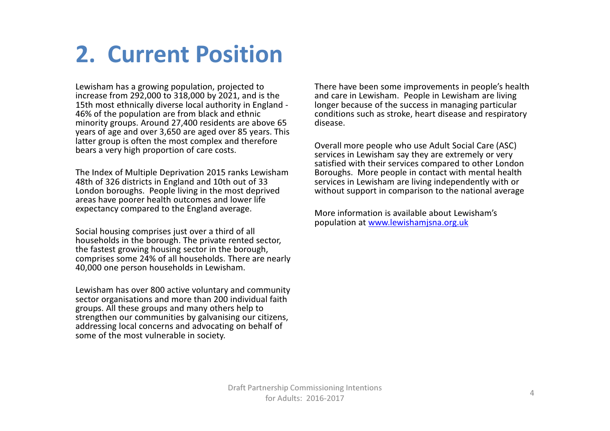### 2. Current Position

Lewisham has a growing population, projected to increase from 292,000 to 318,000 by 2021, and is the 15th most ethnically diverse local authority in England -46% of the population are from black and ethnic minority groups. Around 27,400 residents are above 65 years of age and over 3,650 are aged over 85 years. This latter group is often the most complex and therefore bears a very high proportion of care costs.

The Index of Multiple Deprivation 2015 ranks Lewisham 48th of 326 districts in England and 10th out of 33 London boroughs. People living in the most deprived areas have poorer health outcomes and lower life expectancy compared to the England average.

Social housing comprises just over a third of all households in the borough. The private rented sector, the fastest growing housing sector in the borough, comprises some 24% of all households. There are nearly 40,000 one person households in Lewisham.

Lewisham has over 800 active voluntary and community sector organisations and more than 200 individual faith groups. All these groups and many others help to strengthen our communities by galvanising our citizens, addressing local concerns and advocating on behalf of some of the most vulnerable in society.

There have been some improvements in people's health and care in Lewisham. People in Lewisham are living longer because of the success in managing particular conditions such as stroke, heart disease and respiratory disease.

Overall more people who use Adult Social Care (ASC) services in Lewisham say they are extremely or very satisfied with their services compared to other London Boroughs. More people in contact with mental health services in Lewisham are living independently with or without support in comparison to the national average

More information is available about Lewisham's population at www.lewishamjsna.org.uk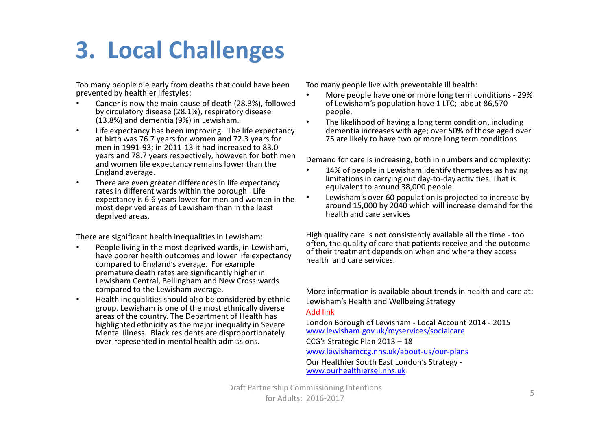### 3. Local Challenges

Too many people die early from deaths that could have been prevented by healthier lifestyles:

- • Cancer is now the main cause of death (28.3%), followed by circulatory disease (28.1%), respiratory disease (13.8%) and dementia (9%) in Lewisham.
- • Life expectancy has been improving. The life expectancy at birth was 76.7 years for women and 72.3 years for men in 1991-93; in 2011-13 it had increased to 83.0 years and 78.7 years respectively, however, for both men and women life expectancy remains lower than the England average.
- • There are even greater differences in life expectancy rates in different wards within the borough. Life expectancy is 6.6 years lower for men and women in the most deprived areas of Lewisham than in the least deprived areas.

There are significant health inequalities in Lewisham:

- • People living in the most deprived wards, in Lewisham, have poorer health outcomes and lower life expectancy compared to England's average. For example premature death rates are significantly higher in Lewisham Central, Bellingham and New Cross wards compared to the Lewisham average.
- • Health inequalities should also be considered by ethnic group. Lewisham is one of the most ethnically diverse areas of the country. The Department of Health has highlighted ethnicity as the major inequality in Severe Mental Illness. Black residents are disproportionately over-represented in mental health admissions.

Too many people live with preventable ill health:

- • More people have one or more long term conditions - 29% of Lewisham's population have 1 LTC; about 86,570 people.
- • The likelihood of having a long term condition, including dementia increases with age; over 50% of those aged over 75 are likely to have two or more long term conditions

Demand for care is increasing, both in numbers and complexity:

- 14% of people in Lewisham identify themselves as having •limitations in carrying out day-to-day activities. That is equivalent to around 38,000 people.
- • Lewisham's over 60 population is projected to increase by around 15,000 by 2040 which will increase demand for the health and care services

High quality care is not consistently available all the time - too often, the quality of care that patients receive and the outcome of their treatment depends on when and where they access health and care services.

More information is available about trends in health and care at:Lewisham's Health and Wellbeing Strategy Add link

 London Borough of Lewisham - Local Account 2014 - 2015 www.lewisham.gov.uk/myservices/socialcareCCG's Strategic Plan 2013 – 18 www.lewishamccg.nhs.uk/about-us/our-plansOur Healthier South East London's Strategy www.ourhealthiersel.nhs.uk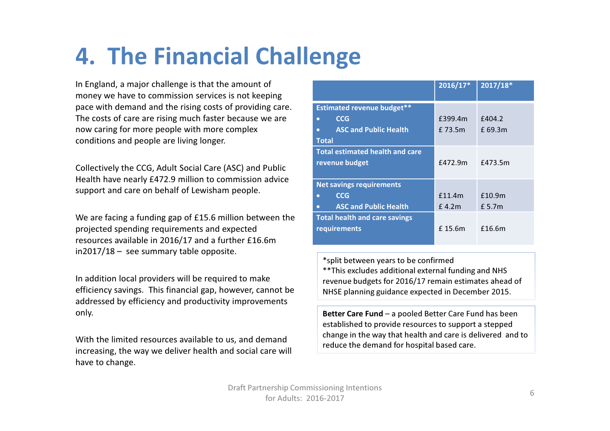### 4. The Financial Challenge

In England, a major challenge is that the amount of money we have to commission services is not keeping pace with demand and the rising costs of providing care. The costs of care are rising much faster because we are now caring for more people with more complex conditions and people are living longer.

Collectively the CCG, Adult Social Care (ASC) and Public Health have nearly £472.9 million to commission advice support and care on behalf of Lewisham people.

We are facing a funding gap of £15.6 million between the projected spending requirements and expected resources available in 2016/17 and a further £16.6m in2017/18 – see summary table opposite.

In addition local providers will be required to make efficiency savings. This financial gap, however, cannot be addressed by efficiency and productivity improvements only.

With the limited resources available to us, and demand increasing, the way we deliver health and social care will have to change.

|                                        | $2016/17*$ | 2017/18*          |
|----------------------------------------|------------|-------------------|
| <b>Estimated revenue budget**</b>      |            |                   |
| <b>CCG</b><br>o                        | £399.4m    | f404.2            |
| <b>ASC and Public Health</b><br>ō      | f 73.5m    | f 69.3m           |
| <b>Total</b>                           |            |                   |
| <b>Total estimated health and care</b> |            |                   |
| revenue budget                         | £472.9m    | £473.5m           |
|                                        |            |                   |
| <b>Net savings requirements</b>        |            |                   |
| <b>CCG</b>                             | f11.4m     | £10.9m            |
| <b>ASC and Public Health</b><br>o      | £4.2m      | f <sub>5.7m</sub> |
| <b>Total health and care savings</b>   |            |                   |
| requirements                           | f 15.6m    | £16.6m            |
|                                        |            |                   |

\*split between years to be confirmed \*\*This excludes additional external funding and NHS revenue budgets for 2016/17 remain estimates ahead of NHSE planning guidance expected in December 2015.

Better Care Fund – a pooled Better Care Fund has been established to provide resources to support a stepped change in the way that health and care is delivered and to reduce the demand for hospital based care.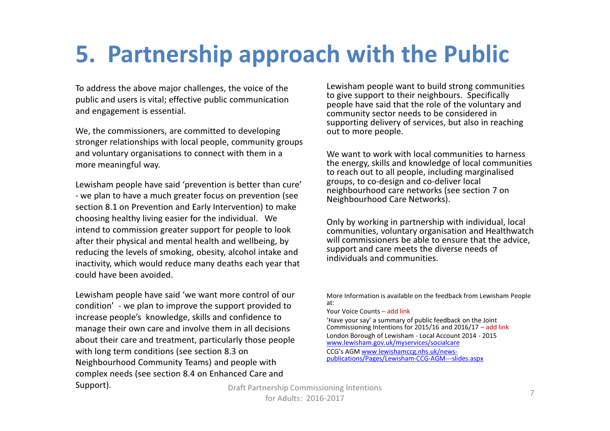### 5. Partnership approach with the Public

To address the above major challenges, the voice of the public and users is vital; effective public communication and engagement is essential.

We, the commissioners, are committed to developing stronger relationships with local people, community groups and voluntary organisations to connect with them in a more meaningful way.

Lewisham people have said 'prevention is better than cure' - we plan to have a much greater focus on prevention (see section 8.1 on Prevention and Early Intervention) to make choosing healthy living easier for the individual. We intend to commission greater support for people to look after their physical and mental health and wellbeing, by reducing the levels of smoking, obesity, alcohol intake and inactivity, which would reduce many deaths each year that could have been avoided.

Lewisham people have said 'we want more control of our condition' - we plan to improve the support provided to increase people's knowledge, skills and confidence to manage their own care and involve them in all decisions about their care and treatment, particularly those people with long term conditions (see section 8.3 on Neighbourhood Community Teams) and people with complex needs (see section 8.4 on Enhanced Care and Support).

Lewisham people want to build strong communities to give support to their neighbours. Specifically people have said that the role of the voluntary and community sector needs to be considered in supporting delivery of services, but also in reaching out to more people.

We want to work with local communities to harness the energy, skills and knowledge of local communities to reach out to all people, including marginalised groups, to co-design and co-deliver local neighbourhood care networks (see section 7 on Neighbourhood Care Networks).

Only by working in partnership with individual, local communities, voluntary organisation and Healthwatch will commissioners be able to ensure that the advice, support and care meets the diverse needs of individuals and communities.

More Information is available on the feedback from Lewisham People at:Your Voice Counts – add link 'Have your say' a summary of public feedback on the Joint Commissioning Intentions for 2015/16 and 2016/17 – add linkLondon Borough of Lewisham - Local Account 2014 - 2015 www.lewisham.gov.uk/myservices/socialcareCCG's AGM www.lewishamccg.nhs.uk/newspublications/Pages/Lewisham-CCG-AGM---slides.aspx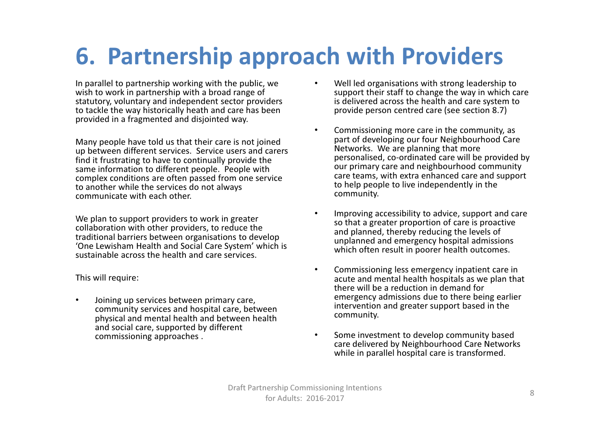### 6. Partnership approach with Providers

In parallel to partnership working with the public, we wish to work in partnership with a broad range of statutory, voluntary and independent sector providers to tackle the way historically heath and care has been provided in a fragmented and disjointed way.

Many people have told us that their care is not joined up between different services. Service users and carers find it frustrating to have to continually provide the same information to different people. People with complex conditions are often passed from one service to another while the services do not always communicate with each other.

We plan to support providers to work in greater traditional barriers between organisations to develop 'One Lewisham Health and Social Care System' which is sustainable across the health and care services.

This will require:

• Joining up services between primary care, community services and hospital care, between physical and mental health and between health and social care, supported by different commissioning approaches .

- • Well led organisations with strong leadership to support their staff to change the way in which care is delivered across the health and care system to provide person centred care (see section 8.7)
- • Commissioning more care in the community, as part of developing our four Neighbourhood Care Networks. We are planning that more personalised, co-ordinated care will be provided by our primary care and neighbourhood community care teams, with extra enhanced care and support to help people to live independently in the community.
- •We plan to support providers to work in greater **The Collaboration of the collaboration** with other providers, to reduce the<br>Collaboration with other providers, to reduce the south and planned, thereby reducing the levels so that a greater proportion of care is proactive and planned, thereby reducing the levels of unplanned and emergency hospital admissions which often result in poorer health outcomes.
	- • Commissioning less emergency inpatient care in acute and mental health hospitals as we plan that there will be a reduction in demand for emergency admissions due to there being earlier intervention and greater support based in the community.
	- • Some investment to develop community based care delivered by Neighbourhood Care Networks while in parallel hospital care is transformed.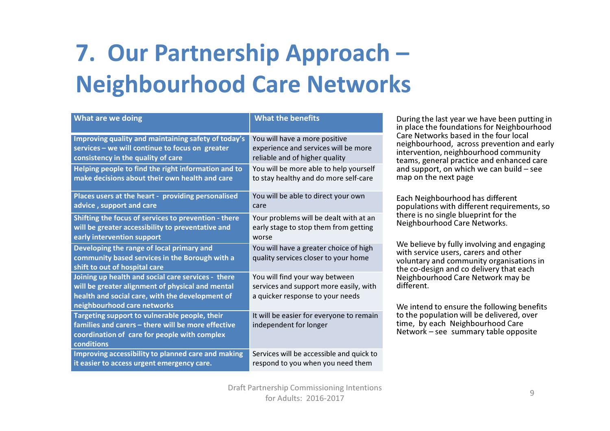# 7. Our Partnership Approach –Neighbourhood Care Networks

| What are we doing                                                                                                                                                                        | <b>What the benefits</b>                                                                                     |
|------------------------------------------------------------------------------------------------------------------------------------------------------------------------------------------|--------------------------------------------------------------------------------------------------------------|
| Improving quality and maintaining safety of today's                                                                                                                                      | You will have a more positive                                                                                |
| services - we will continue to focus on greater                                                                                                                                          | experience and services will be more                                                                         |
| consistency in the quality of care                                                                                                                                                       | reliable and of higher quality                                                                               |
| Helping people to find the right information and to                                                                                                                                      | You will be more able to help yourself                                                                       |
| make decisions about their own health and care                                                                                                                                           | to stay healthy and do more self-care                                                                        |
| Places users at the heart - providing personalised                                                                                                                                       | You will be able to direct your own                                                                          |
| advice, support and care                                                                                                                                                                 | care                                                                                                         |
| Shifting the focus of services to prevention - there                                                                                                                                     | Your problems will be dealt with at an                                                                       |
| will be greater accessibility to preventative and                                                                                                                                        | early stage to stop them from getting                                                                        |
| early intervention support                                                                                                                                                               | worse                                                                                                        |
| Developing the range of local primary and<br>community based services in the Borough with a<br>shift to out of hospital care                                                             | You will have a greater choice of high<br>quality services closer to your home                               |
| Joining up health and social care services - there<br>will be greater alignment of physical and mental<br>health and social care, with the development of<br>neighbourhood care networks | You will find your way between<br>services and support more easily, with<br>a quicker response to your needs |
| Targeting support to vulnerable people, their<br>families and carers - there will be more effective<br>coordination of care for people with complex<br>conditions                        | It will be easier for everyone to remain<br>independent for longer                                           |
| Improving accessibility to planned care and making                                                                                                                                       | Services will be accessible and quick to                                                                     |
| it easier to access urgent emergency care.                                                                                                                                               | respond to you when you need them                                                                            |

During the last year we have been putting in in place the foundations for Neighbourhood Care Networks based in the four local neighbourhood, across prevention and early intervention, neighbourhood community teams, general practice and enhanced care and support, on which we can build – see map on the next page

Each Neighbourhood has different populations with different requirements, so there is no single blueprint for the Neighbourhood Care Networks.

We believe by fully involving and engaging with service users, carers and other voluntary and community organisations in the co-design and co delivery that each Neighbourhood Care Network may be different.

We intend to ensure the following benefits to the population will be delivered, over time, by each Neighbourhood Care Network – see summary table opposite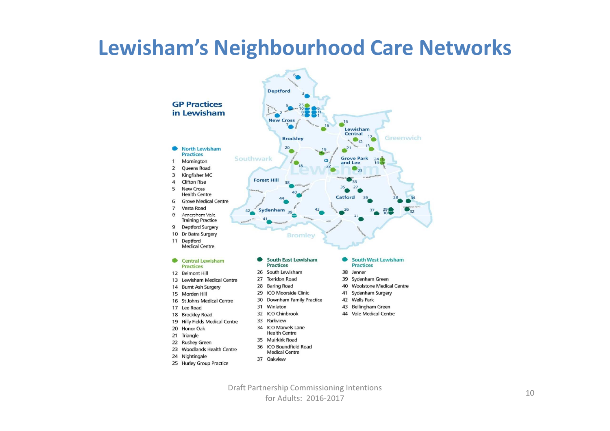

### Lewisham's Neighbourhood Care Networks

**Medical Centre** 

37 Oakview

23 Woodlands Health Centre

25 Hurley Group Practice

24 Nightingale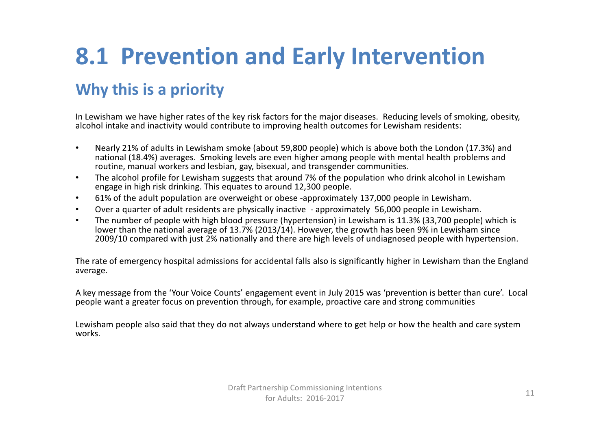# 8.1 Prevention and Early Intervention

#### Why this is a priority

In Lewisham we have higher rates of the key risk factors for the major diseases. Reducing levels of smoking, obesity, alcohol intake and inactivity would contribute to improving health outcomes for Lewisham residents:

- • Nearly 21% of adults in Lewisham smoke (about 59,800 people) which is above both the London (17.3%) and national (18.4%) averages. Smoking levels are even higher among people with mental health problems and routine, manual workers and lesbian, gay, bisexual, and transgender communities.
- • The alcohol profile for Lewisham suggests that around 7% of the population who drink alcohol in Lewisham engage in high risk drinking. This equates to around 12,300 people.
- •61% of the adult population are overweight or obese -approximately 137,000 people in Lewisham.
- •Over a quarter of adult residents are physically inactive - approximately 56,000 people in Lewisham.
- • The number of people with high blood pressure (hypertension) in Lewisham is 11.3% (33,700 people) which is lower than the national average of 13.7% (2013/14). However, the growth has been 9% in Lewisham since 2009/10 compared with just 2% nationally and there are high levels of undiagnosed people with hypertension.

The rate of emergency hospital admissions for accidental falls also is significantly higher in Lewisham than the England average.

A key message from the 'Your Voice Counts' engagement event in July 2015 was 'prevention is better than cure'. Local people want a greater focus on prevention through, for example, proactive care and strong communities

Lewisham people also said that they do not always understand where to get help or how the health and care system works.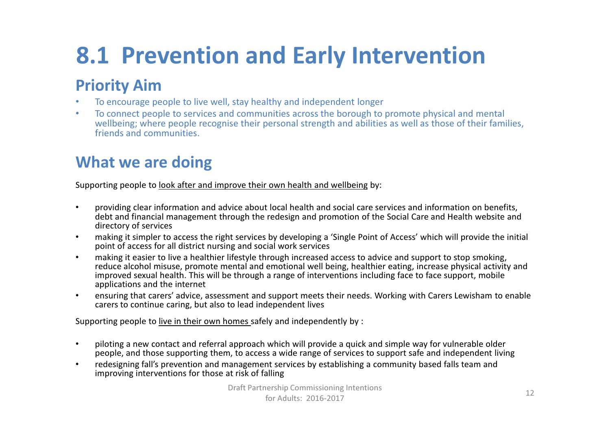# 8.1 Prevention and Early Intervention

#### Priority Aim

- To encourage people to live well, stay healthy and independent longer •
- • To connect people to services and communities across the borough to promote physical and mental wellbeing; where people recognise their personal strength and abilities as well as those of their families, friends and communities.

#### What we are doing

Supporting people to <u>look after and improve their own health and wellbeing</u> by:

- • providing clear information and advice about local health and social care services and information on benefits, debt and financial management through the redesign and promotion of the Social Care and Health website and directory of services
- making it simpler to access the right services by developing a 'Single Point of Access' which will provide the initial •point of access for all district nursing and social work services
- making it easier to live a healthier lifestyle through increased access to advice and support to stop smoking, •reduce alcohol misuse, promote mental and emotional well being, healthier eating, increase physical activity and improved sexual health. This will be through a range of interventions including face to face support, mobile applications and the internet
- ensuring that carers' advice, assessment and support meets their needs. Working with Carers Lewisham to enable •carers to continue caring, but also to lead independent lives

Supporting people to live in their own homes safely and independently by :

- $\bullet$  piloting a new contact and referral approach which will provide a quick and simple way for vulnerable older people, and those supporting them, to access a wide range of services to support safe and independent living
- • redesigning fall's prevention and management services by establishing a community based falls team and improving interventions for those at risk of falling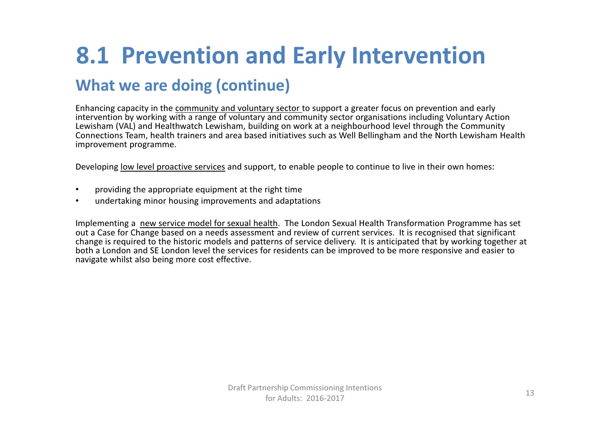### 8.1 Prevention and Early Intervention

#### What we are doing (continue)

Enhancing capacity in the community and voluntary sector to support a greater focus on prevention and early intervention by working with a range of voluntary and community sector organisations including Voluntary Action Lewisham (VAL) and Healthwatch Lewisham, building on work at a neighbourhood level through the Community Connections Team, health trainers and area based initiatives such as Well Bellingham and the North Lewisham Health improvement programme.

Developing <u>low level proactive services</u> and support, to enable people to continue to live in their own homes:

- •providing the appropriate equipment at the right time
- •undertaking minor housing improvements and adaptations

Implementing a new service model for sexual health. The London Sexual Health Transformation Programme has set out a Case for Change based on a needs assessment and review of current services. It is recognised that significant change is required to the historic models and patterns of service delivery. It is anticipated that by working together at both a London and SE London level the services for residents can be improved to be more responsive and easier to navigate whilst also being more cost effective.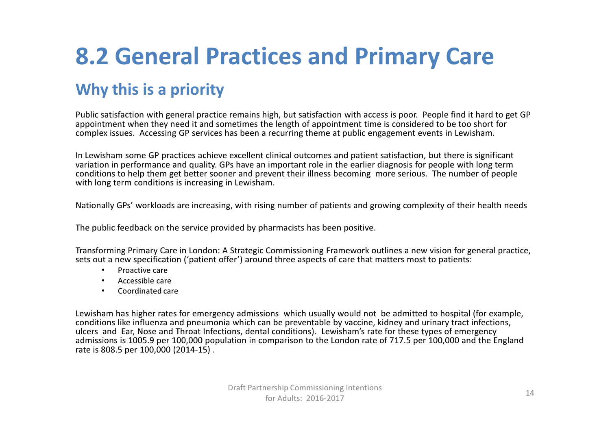# 8.2 General Practices and Primary Care

#### Why this is a priority

Public satisfaction with general practice remains high, but satisfaction with access is poor. People find it hard to get GP appointment when they need it and sometimes the length of appointment time is considered to be too short for complex issues. Accessing GP services has been a recurring theme at public engagement events in Lewisham.

In Lewisham some GP practices achieve excellent clinical outcomes and patient satisfaction, but there is significant variation in performance and quality. GPs have an important role in the earlier diagnosis for people with long term conditions to help them get better sooner and prevent their illness becoming more serious. The number of people with long term conditions is increasing in Lewisham.

Nationally GPs' workloads are increasing, with rising number of patients and growing complexity of their health needs

The public feedback on the service provided by pharmacists has been positive.

Transforming Primary Care in London: A Strategic Commissioning Framework outlines a new vision for general practice, sets out a new specification ('patient offer') around three aspects of care that matters most to patients:

- •Proactive care
- Accessible care•
- Coordinated care•

Lewisham has higher rates for emergency admissions which usually would not be admitted to hospital (for example, conditions like influenza and pneumonia which can be preventable by vaccine, kidney and urinary tract infections, ulcers and Ear, Nose and Throat Infections, dental conditions). Lewisham's rate for these types of emergency admissions is 1005.9 per 100,000 population in comparison to the London rate of 717.5 per 100,000 and the England rate is 808.5 per 100,000 (2014-15) .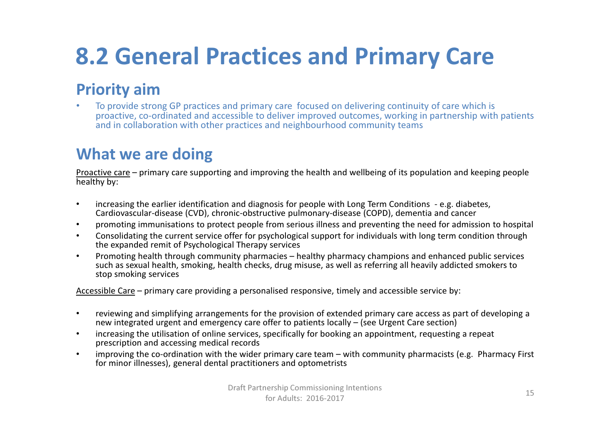### 8.2 General Practices and Primary Care

#### Priority aim

 To provide strong GP practices and primary care focused on delivering continuity of care which is •proactive, co-ordinated and accessible to deliver improved outcomes, working in partnership with patients and in collaboration with other practices and neighbourhood community teams

#### What we are doing

Proactive care – primary care supporting and improving the health and wellbeing of its population and keeping people<br>healthy by:

- • increasing the earlier identification and diagnosis for people with Long Term Conditions - e.g. diabetes, Cardiovascular-disease (CVD), chronic-obstructive pulmonary-disease (COPD), dementia and cancer
- •promoting immunisations to protect people from serious illness and preventing the need for admission to hospital
- • Consolidating the current service offer for psychological support for individuals with long term condition through the expanded remit of Psychological Therapy services
- • Promoting health through community pharmacies – healthy pharmacy champions and enhanced public services such as sexual health, smoking, health checks, drug misuse, as well as referring all heavily addicted smokers to stop smoking services

Accessible Care – primary care providing a personalised responsive, timely and accessible service by:

- • reviewing and simplifying arrangements for the provision of extended primary care access as part of developing a new integrated urgent and emergency care offer to patients locally – (see Urgent Care section)
- • increasing the utilisation of online services, specifically for booking an appointment, requesting a repeat prescription and accessing medical records
- improving the co-ordination with the wider primary care team with community pharmacists (e.g. Pharmacy First •for minor illnesses), general dental practitioners and optometrists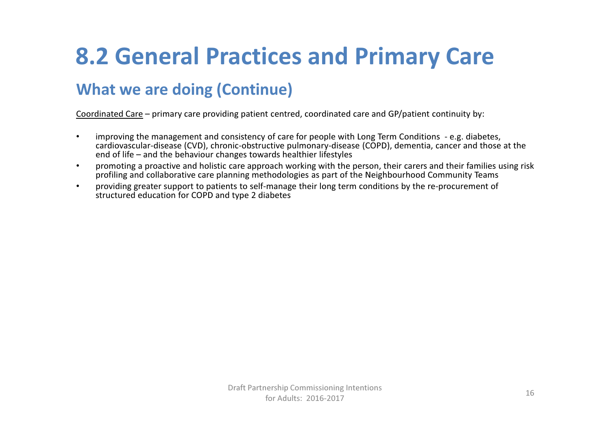### 8.2 General Practices and Primary Care

#### What we are doing (Continue)

Coordinated Care – primary care providing patient centred, coordinated care and GP/patient continuity by:

- • improving the management and consistency of care for people with Long Term Conditions - e.g. diabetes, cardiovascular-disease (CVD), chronic-obstructive pulmonary-disease (COPD), dementia, cancer and those at the end of life – and the behaviour changes towards healthier lifestyles
- promoting a proactive and holistic care approach working with the person, their carers and their families using risk •profiling and collaborative care planning methodologies as part of the Neighbourhood Community Teams
- providing greater support to patients to self-manage their long term conditions by the re-procurement of •structured education for COPD and type 2 diabetes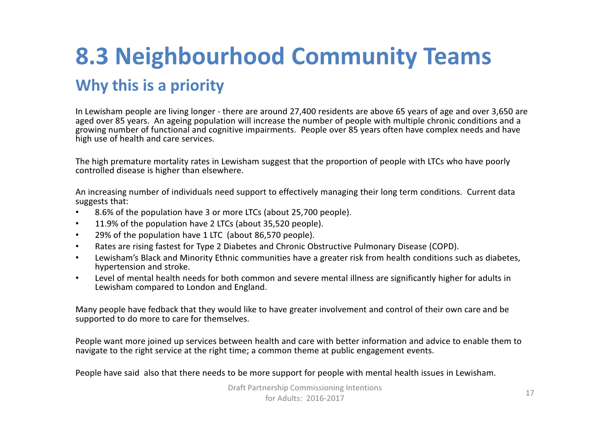### 8.3 Neighbourhood Community Teams Why this is a priority

In Lewisham people are living longer - there are around 27,400 residents are above 65 years of age and over 3,650 are aged over 85 years. An ageing population will increase the number of people with multiple chronic conditions and a growing number of functional and cognitive impairments. People over 85 years often have complex needs and have high use of health and care services.

The high premature mortality rates in Lewisham suggest that the proportion of people with LTCs who have poorly controlled disease is higher than elsewhere.

An increasing number of individuals need support to effectively managing their long term conditions. Current data suggests that:

- $\bullet$ 8.6% of the population have 3 or more LTCs (about 25,700 people).
- $\bullet$ 11.9% of the population have 2 LTCs (about 35,520 people).
- •29% of the population have 1 LTC (about 86,570 people).
- •Rates are rising fastest for Type 2 Diabetes and Chronic Obstructive Pulmonary Disease (COPD).
- • Lewisham's Black and Minority Ethnic communities have a greater risk from health conditions such as diabetes, hypertension and stroke.
- • Level of mental health needs for both common and severe mental illness are significantly higher for adults in Lewisham compared to London and England.

Many people have fedback that they would like to have greater involvement and control of their own care and be supported to do more to care for themselves.

People want more joined up services between health and care with better information and advice to enable them to navigate to the right service at the right time; a common theme at public engagement events.

People have said also that there needs to be more support for people with mental health issues in Lewisham.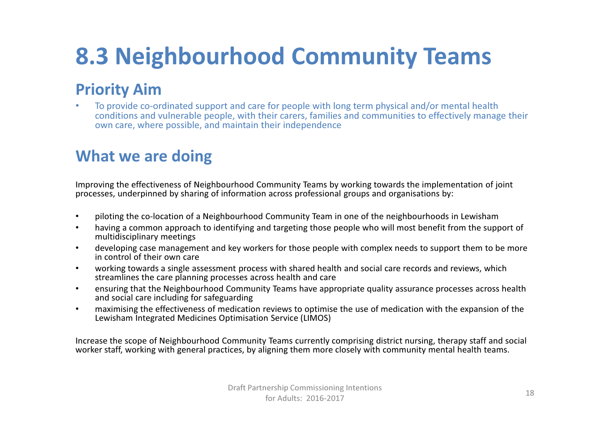### 8.3 Neighbourhood Community Teams

#### Priority Aim

 To provide co-ordinated support and care for people with long term physical and/or mental health •conditions and vulnerable people, with their carers, families and communities to effectively manage their own care, where possible, and maintain their independence

#### What we are doing

Improving the effectiveness of Neighbourhood Community Teams by working towards the implementation of joint processes, underpinned by sharing of information across professional groups and organisations by:

- •piloting the co-location of a Neighbourhood Community Team in one of the neighbourhoods in Lewisham •<br>In the line a common annuace to identifying and terration these needs who will meet hangfit from the cum
- • having a common approach to identifying and targeting those people who will most benefit from the support of multidisciplinary meetings
- developing case management and key workers for those people with complex needs to support them to be more •in control of their own care
- working towards a single assessment process with shared health and social care records and reviews, which  $\bullet$ streamlines the care planning processes across health and care
- ensuring that the Neighbourhood Community Teams have appropriate quality assurance processes across health •and social care including for safeguarding
- maximising the effectiveness of medication reviews to optimise the use of medication with the expansion of the •Lewisham Integrated Medicines Optimisation Service (LIMOS)

Increase the scope of Neighbourhood Community Teams currently comprising district nursing, therapy staff and social worker staff, working with general practices, by aligning them more closely with community mental health teams.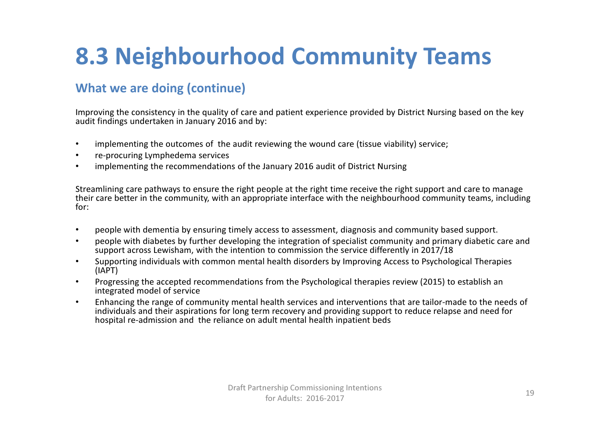### 8.3 Neighbourhood Community Teams

#### What we are doing (continue)

Improving the consistency in the quality of care and patient experience provided by District Nursing based on the key audit findings undertaken in January 2016 and by:

- •implementing the outcomes of the audit reviewing the wound care (tissue viability) service;
- •re-procuring Lymphedema services
- implementing the recommendations of the January 2016 audit of District Nursing•

Streamlining care pathways to ensure the right people at the right time receive the right support and care to manage their care better in the community, with an appropriate interface with the neighbourhood community teams, including for:

- •people with dementia by ensuring timely access to assessment, diagnosis and community based support.
- • people with diabetes by further developing the integration of specialist community and primary diabetic care and support across Lewisham, with the intention to commission the service differently in 2017/18
- Supporting individuals with common mental health disorders by Improving Access to Psychological Therapies •(IAPT)
- $\bullet$  Progressing the accepted recommendations from the Psychological therapies review (2015) to establish an integrated model of service
- • Enhancing the range of community mental health services and interventions that are tailor-made to the needs of individuals and their aspirations for long term recovery and providing support to reduce relapse and need for hospital re-admission and the reliance on adult mental health inpatient beds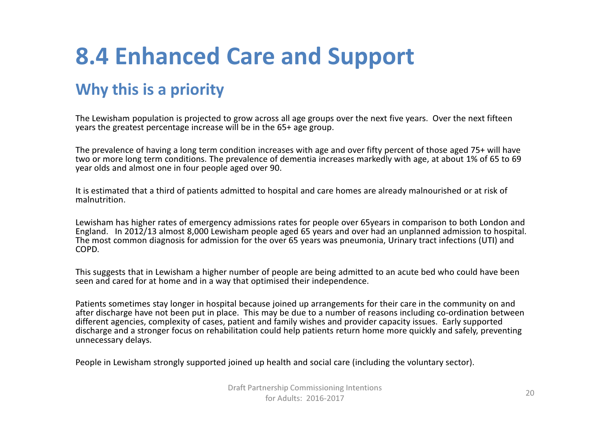### 8.4 Enhanced Care and Support

#### Why this is a priority

The Lewisham population is projected to grow across all age groups over the next five years. Over the next fifteen years the greatest percentage increase will be in the 65+ age group.

The prevalence of having a long term condition increases with age and over fifty percent of those aged 75+ will have two or more long term conditions. The prevalence of dementia increases markedly with age, at about 1% of 65 to 69 year olds and almost one in four people aged over 90.

It is estimated that a third of patients admitted to hospital and care homes are already malnourished or at risk of malnutrition.

Lewisham has higher rates of emergency admissions rates for people over 65years in comparison to both London and England. In 2012/13 almost 8,000 Lewisham people aged 65 years and over had an unplanned admission to hospital. The most common diagnosis for admission for the over 65 years was pneumonia, Urinary tract infections (UTI) and COPD.

This suggests that in Lewisham a higher number of people are being admitted to an acute bed who could have been seen and cared for at home and in a way that optimised their independence.

Patients sometimes stay longer in hospital because joined up arrangements for their care in the community on and after discharge have not been put in place. This may be due to a number of reasons including co-ordination between different agencies, complexity of cases, patient and family wishes and provider capacity issues. Early supported discharge and a stronger focus on rehabilitation could help patients return home more quickly and safely, preventing unnecessary delays.

People in Lewisham strongly supported joined up health and social care (including the voluntary sector).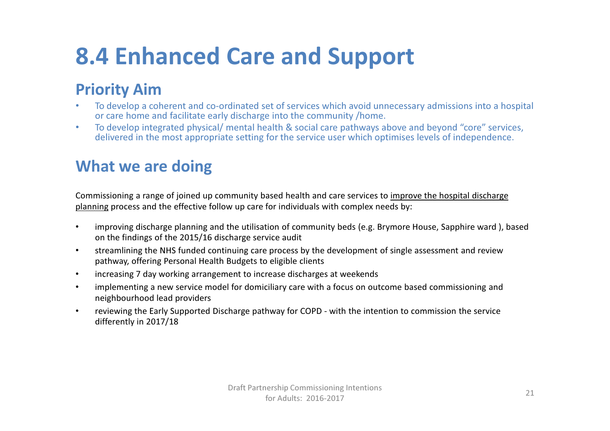### 8.4 Enhanced Care and Support

#### Priority Aim

- • To develop a coherent and co-ordinated set of services which avoid unnecessary admissions into a hospital or care home and facilitate early discharge into the community /home.
- • To develop integrated physical/ mental health & social care pathways above and beyond "core" services, delivered in the most appropriate setting for the service user which optimises levels of independence.

#### What we are doing

Commissioning a range of joined up community based health and care services to improve the hospital discharge planning process and the effective follow up care for individuals with complex needs by:

- • improving discharge planning and the utilisation of community beds (e.g. Brymore House, Sapphire ward ), based on the findings of the 2015/16 discharge service audit
- $\bullet$  streamlining the NHS funded continuing care process by the development of single assessment and review pathway, offering Personal Health Budgets to eligible clients
- •increasing 7 day working arrangement to increase discharges at weekends
- • implementing a new service model for domiciliary care with a focus on outcome based commissioning and neighbourhood lead providers
- • reviewing the Early Supported Discharge pathway for COPD - with the intention to commission the service differently in 2017/18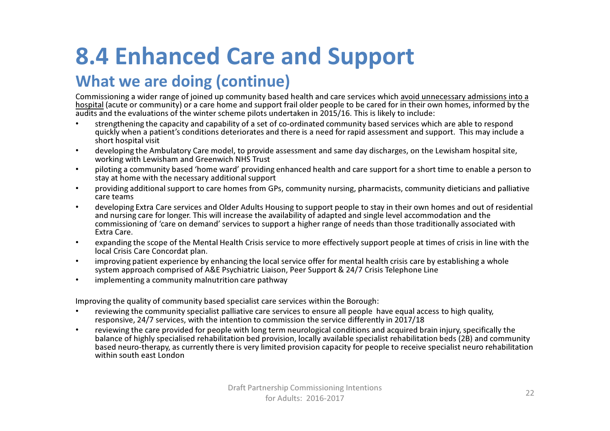### 8.4 Enhanced Care and Support

#### What we are doing (continue)

Commissioning a wider range of joined up community based health and care services which avoid unnecessary admissions into a hospital (acute or community) or a care home and support frail older people to be cared for in their own homes, informed by the audits and the evaluations of the winter scheme pilots undertaken in 2015/16. This is likely to include:

- strengthening the capacity and capability of a set of co-ordinated community based services which are able to respond •quickly when a patient's conditions deteriorates and there is a need for rapid assessment and support. This may include a short hospital visit
- developing the Ambulatory Care model, to provide assessment and same day discharges, on the Lewisham hospital site, •working with Lewisham and Greenwich NHS Trust
- piloting a community based 'home ward' providing enhanced health and care support for a short time to enable a person to •stay at home with the necessary additional support
- providing additional support to care homes from GPs, community nursing, pharmacists, community dieticians and palliative •care teams
- developing Extra Care services and Older Adults Housing to support people to stay in their own homes and out of residential •and nursing care for longer. This will increase the availability of adapted and single level accommodation and the commissioning of 'care on demand' services to support a higher range of needs than those traditionally associated with Extra Care.
- • expanding the scope of the Mental Health Crisis service to more effectively support people at times of crisis in line with the local Crisis Care Concordat plan.
- • improving patient experience by enhancing the local service offer for mental health crisis care by establishing a whole system approach comprised of A&E Psychiatric Liaison, Peer Support & 24/7 Crisis Telephone Line
- •implementing a community malnutrition care pathway

Improving the quality of community based specialist care services within the Borough:

- • reviewing the community specialist palliative care services to ensure all people have equal access to high quality, responsive, 24/7 services, with the intention to commission the service differently in 2017/18
- reviewing the care provided for people with long term neurological conditions and acquired brain injury, specifically the •balance of highly specialised rehabilitation bed provision, locally available specialist rehabilitation beds (2B) and community based neuro-therapy, as currently there is very limited provision capacity for people to receive specialist neuro rehabilitationwithin south east London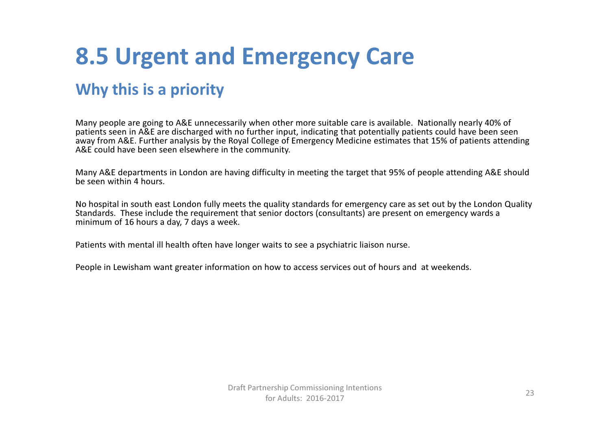### 8.5 Urgent and Emergency Care

#### Why this is a priority

Many people are going to A&E unnecessarily when other more suitable care is available. Nationally nearly 40% of patients seen in A&E are discharged with no further input, indicating that potentially patients could have been seen away from A&E. Further analysis by the Royal College of Emergency Medicine estimates that 15% of patients attending A&E could have been seen elsewhere in the community.

Many A&E departments in London are having difficulty in meeting the target that 95% of people attending A&E should be seen within 4 hours.

No hospital in south east London fully meets the quality standards for emergency care as set out by the London Quality Standards. These include the requirement that senior doctors (consultants) are present on emergency wards a minimum of 16 hours a day, 7 days a week.

Patients with mental ill health often have longer waits to see a psychiatric liaison nurse.

People in Lewisham want greater information on how to access services out of hours and at weekends.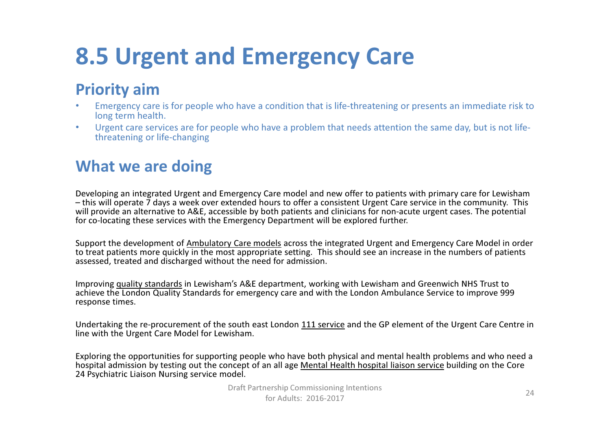### 8.5 Urgent and Emergency Care

#### Priority aim

- Emergency care is for people who have a condition that is life-threatening or presents an immediate risk to •long term health.
- • Urgent care services are for people who have a problem that needs attention the same day, but is not lifethreatening or life-changing

#### What we are doing

Developing an integrated Urgent and Emergency Care model and new offer to patients with primary care for Lewisham – this will operate 7 days a week over extended hours to offer a consistent Urgent Care service in the community. This will provide an alternative to A&E, accessible by both patients and clinicians for non-acute urgent cases. The potential for co-locating these services with the Emergency Department will be explored further.

Support the development of <u>Ambulatory Care models</u> across the integrated Urgent and Emergency Care Model in order to treat patients more quickly in the most appropriate setting. This should see an increase in the numbers of patients assessed, treated and discharged without the need for admission.

Improving quality standards in Lewisham's A&E department, working with Lewisham and Greenwich NHS Trust to achieve the London Quality Standards for emergency care and with the London Ambulance Service to improve 999 response times.

Undertaking the re-procurement of the south east London 111 service and the GP element of the Urgent Care Centre in<br>It is a still the Universe Care Market Carlos is been line with the Urgent Care Model for Lewisham.

Exploring the opportunities for supporting people who have both physical and mental health problems and who need a hospital admission by testing out the concept of an all age <u>Mental Health hospital liaison service</u> building on the Core<br>24 Bunkistinisms and the core 24 Psychiatric Liaison Nursing service model.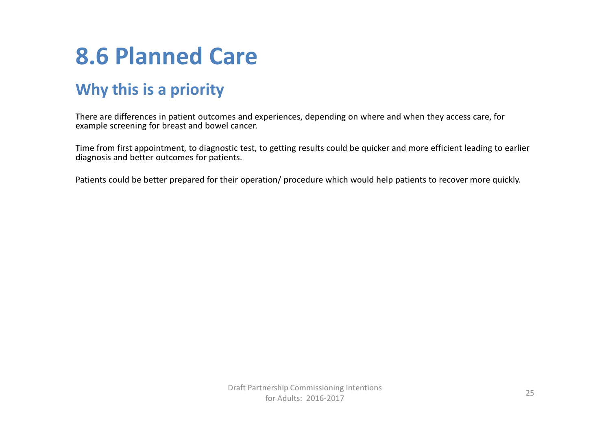### 8.6 Planned Care

#### Why this is a priority

There are differences in patient outcomes and experiences, depending on where and when they access care, for example screening for breast and bowel cancer.

Time from first appointment, to diagnostic test, to getting results could be quicker and more efficient leading to earlier diagnosis and better outcomes for patients.

Patients could be better prepared for their operation/ procedure which would help patients to recover more quickly.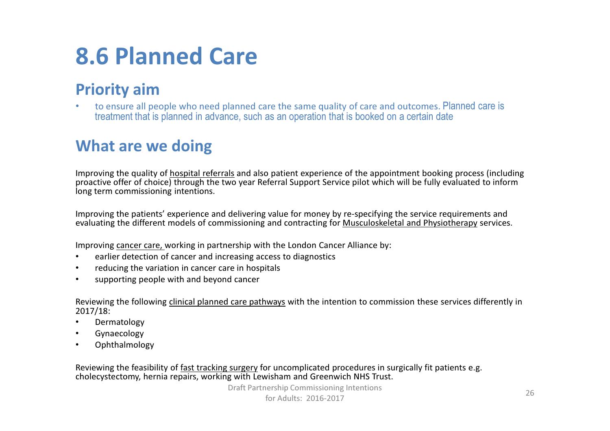### 8.6 Planned Care

#### Priority aim

 to ensure all people who need planned care the same quality of care and outcomes. Planned care is •treatment that is planned in advance, such as an operation that is booked on a certain date

#### What are we doing

Improving the quality of <u>hospital referrals</u> and also patient experience of the appointment booking process (including proactive offer of choice) through the two year Referral Support Service pilot which will be fully evaluated to inform long term commissioning intentions.

Improving the patients' experience and delivering value for money by re-specifying the service requirements and evaluating the different models of commissioning and contracting for <u>Musculoskeletal and Physiotherapy</u> services.

Improving cancer care, working in partnership with the London Cancer Alliance by:

- •earlier detection of cancer and increasing access to diagnostics
- •reducing the variation in cancer care in hospitals
- •supporting people with and beyond cancer

Reviewing the following <u>clinical planned care pathways</u> with the intention to commission these services differently in<br>cases in the services differently in 2017/18:

- •Dermatology
- **•** Gynaecology •
- Ophthalmology •

Reviewing the feasibility of <u>fast tracking surgery</u> for uncomplicated procedures in surgically fit patients e.g.<br>. cholecystectomy, hernia repairs, working with Lewisham and Greenwich NHS Trust.

> Draft Partnership Commissioning Intentions for Adults: 2016-201726 and 20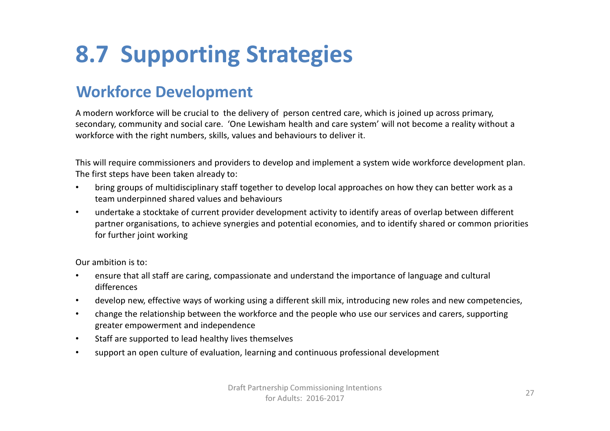### 8.7 Supporting Strategies

#### Workforce Development

A modern workforce will be crucial to the delivery of person centred care, which is joined up across primary, secondary, community and social care. 'One Lewisham health and care system' will not become a reality without a workforce with the right numbers, skills, values and behaviours to deliver it.

This will require commissioners and providers to develop and implement a system wide workforce development plan. The first steps have been taken already to:

- • bring groups of multidisciplinary staff together to develop local approaches on how they can better work as a team underpinned shared values and behaviours
- • undertake a stocktake of current provider development activity to identify areas of overlap between different partner organisations, to achieve synergies and potential economies, and to identify shared or common priorities for further joint working

Our ambition is to:

- • ensure that all staff are caring, compassionate and understand the importance of language and cultural differences
- •develop new, effective ways of working using a different skill mix, introducing new roles and new competencies,
- • change the relationship between the workforce and the people who use our services and carers, supporting greater empowerment and independence
- •Staff are supported to lead healthy lives themselves
- •support an open culture of evaluation, learning and continuous professional development